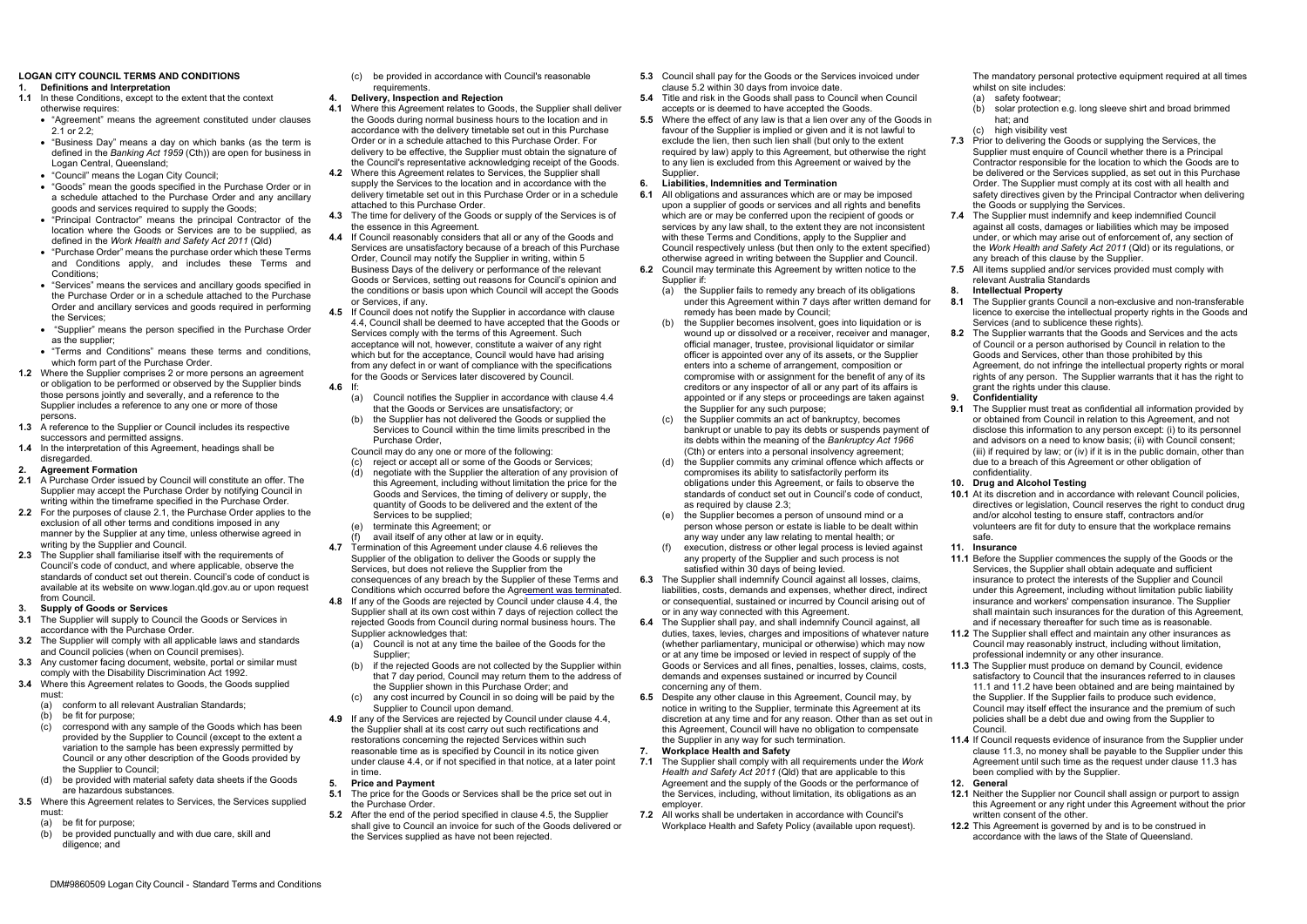## **LOGAN CITY COUNCIL TERMS AND CONDITIONS 1. Definitions and Interpretation**

- **1.1** In these Conditions, except to the extent that the context otherwise requires:
	- "Agreement" means the agreement constituted under clauses 2.1 or 2.2;
	- "Business Day" means a day on which banks (as the term is defined in the *Banking Act 1959* (Cth)) are open for business in Logan Central, Queensland;
	- "Council" means the Logan City Council;
	- "Goods" mean the goods specified in the Purchase Order or in a schedule attached to the Purchase Order and any ancillary goods and services required to supply the Goods;
	- "Principal Contractor" means the principal Contractor of the location where the Goods or Services are to be supplied, as defined in the *Work Health and Safety Act 2011* (Qld)
	- "Purchase Order" means the purchase order which these Terms and Conditions apply, and includes these Terms and Conditions:
	- "Services" means the services and ancillary goods specified in the Purchase Order or in a schedule attached to the Purchase Order and ancillary services and goods required in performing the Services;
	- "Supplier" means the person specified in the Purchase Order as the supplier;
	- "Terms and Conditions" means these terms and conditions, which form part of the Purchase Order.
- **1.2** Where the Supplier comprises 2 or more persons an agreement or obligation to be performed or observed by the Supplier binds those persons jointly and severally, and a reference to the Supplier includes a reference to any one or more of those persons.
- **1.3** A reference to the Supplier or Council includes its respective successors and permitted assigns.
- **1.4** In the interpretation of this Agreement, headings shall be disregarded.
- **2. Agreement Formation**
- **2.1** A Purchase Order issued by Council will constitute an offer. The Supplier may accept the Purchase Order by notifying Council in writing within the timeframe specified in the Purchase Order.
- **2.2** For the purposes of clause 2.1, the Purchase Order applies to the exclusion of all other terms and conditions imposed in any manner by the Supplier at any time, unless otherwise agreed in writing by the Supplier and Council.
- **2.3** The Supplier shall familiarise itself with the requirements of Council's code of conduct, and where applicable, observe the standards of conduct set out therein. Council's code of conduct is available at its website o[n www.logan.qld.gov.au o](http://www.logan.qld.gov.au/)r upon request from Council.
- **3. Supply of Goods or Services**
- **3.1** The Supplier will supply to Council the Goods or Services in accordance with the Purchase Order.
- **3.2** The Supplier will comply with all applicable laws and standards and Council policies (when on Council premises).
- **3.3** Any customer facing document, website, portal or similar must comply with the Disability Discrimination Act 1992.
- **3.4** Where this Agreement relates to Goods, the Goods supplied must:
	- (a) conform to all relevant Australian Standards;
	- (b) be fit for purpose;
	- (c) correspond with any sample of the Goods which has been provided by the Supplier to Council (except to the extent a variation to the sample has been expressly permitted by Council or any other description of the Goods provided by the Supplier to Council;
- (d) be provided with material safety data sheets if the Goods are hazardous substances.
- **3.5** Where this Agreement relates to Services, the Services supplied must:
	- (a) be fit for purpose;
	- (b) be provided punctually and with due care, skill and diligence; and
- (c) be provided in accordance with Council's reasonable requirements.
- **4. Delivery, Inspection and Rejection**
- **4.1** Where this Agreement relates to Goods, the Supplier shall deliver the Goods during normal business hours to the location and in accordance with the delivery timetable set out in this Purchase Order or in a schedule attached to this Purchase Order. For delivery to be effective, the Supplier must obtain the signature of the Council's representative acknowledging receipt of the Goods.
- **4.2** Where this Agreement relates to Services, the Supplier shall supply the Services to the location and in accordance with the delivery timetable set out in this Purchase Order or in a schedule attached to this Purchase Order.
- **4.3** The time for delivery of the Goods or supply of the Services is of the essence in this Agreement.
- **4.4** If Council reasonably considers that all or any of the Goods and Services are unsatisfactory because of a breach of this Purchase Order, Council may notify the Supplier in writing, within 5 Business Days of the delivery or performance of the relevant Goods or Services, setting out reasons for Council's opinion and the conditions or basis upon which Council will accept the Goods or Services, if any.
- **4.5** If Council does not notify the Supplier in accordance with clause 4.4, Council shall be deemed to have accepted that the Goods or Services comply with the terms of this Agreement. Such acceptance will not, however, constitute a waiver of any right which but for the acceptance. Council would have had arising from any defect in or want of compliance with the specifications for the Goods or Services later discovered by Council. **4.6** If:
	- (a) Council notifies the Supplier in accordance with clause 4.4 that the Goods or Services are unsatisfactory; or
	- (b) the Supplier has not delivered the Goods or supplied the Services to Council within the time limits prescribed in the Purchase Order,
	- Council may do any one or more of the following:<br>(c) reject or accept all or some of the Goods or
	- reject or accept all or some of the Goods or Services;
	- (d) negotiate with the Supplier the alteration of any provision of this Agreement, including without limitation the price for the Goods and Services, the timing of delivery or supply, the quantity of Goods to be delivered and the extent of the Services to be supplied;
	- (e) terminate this Agreement; or
	- avail itself of any other at law or in equity.
- **4.7** Termination of this Agreement under clause 4.6 relieves the Supplier of the obligation to deliver the Goods or supply the Services, but does not relieve the Supplier from the consequences of any breach by the Supplier of these Terms and
- Conditions which occurred before the Agreement was terminated. **4.8** If any of the Goods are rejected by Council under clause 4.4, the Supplier shall at its own cost within 7 days of rejection collect the rejected Goods from Council during normal business hours. The
	- Supplier acknowledges that: (a) Council is not at any time the bailee of the Goods for the Supplier:
	- (b) if the rejected Goods are not collected by the Supplier within that 7 day period, Council may return them to the address of the Supplier shown in this Purchase Order; and
	- any cost incurred by Council in so doing will be paid by the Supplier to Council upon demand.
- **4.9** If any of the Services are rejected by Council under clause 4.4, the Supplier shall at its cost carry out such rectifications and restorations concerning the rejected Services within such reasonable time as is specified by Council in its notice given under clause 4.4, or if not specified in that notice, at a later point in time.
- **5. Price and Payment**
- **5.1** The price for the Goods or Services shall be the price set out in the Purchase Order.
- **5.2** After the end of the period specified in clause 4.5, the Supplier shall give to Council an invoice for such of the Goods delivered or the Services supplied as have not been rejected.
- **5.3** Council shall pay for the Goods or the Services invoiced under The mandatory personal protective equipment required at all times clause 5.2 within 30 days from invoice date.
- **5.4** Title and risk in the Goods shall pass to Council when Council accepts or is deemed to have accepted the Goods.
- **5.5** Where the effect of any law is that a lien over any of the Goods in favour of the Supplier is implied or given and it is not lawful to exclude the lien, then such lien shall (but only to the extent required by law) apply to this Agreement, but otherwise the right to any lien is excluded from this Agreement or waived by the **Supplier**

## **6. Liabilities, Indemnities and Termination**

- **6.1** All obligations and assurances which are or may be imposed upon a supplier of goods or services and all rights and benefits which are or may be conferred upon the recipient of goods or services by any law shall, to the extent they are not inconsistent with these Terms and Conditions, apply to the Supplier and Council respectively unless (but then only to the extent specified) otherwise agreed in writing between the Supplier and Council. **6.2** Council may terminate this Agreement by written notice to the Supplier if:
	- (a) the Supplier fails to remedy any breach of its obligations under this Agreement within 7 days after written demand for remedy has been made by Council;
	- (b) the Supplier becomes insolvent, goes into liquidation or is wound up or dissolved or a receiver, receiver and manager official manager, trustee, provisional liquidator or similar officer is appointed over any of its assets, or the Supplier enters into a scheme of arrangement, composition or compromise with or assignment for the benefit of any of its creditors or any inspector of all or any part of its affairs is appointed or if any steps or proceedings are taken against the Supplier for any such purpose;
	- (c) the Supplier commits an act of bankruptcy, becomes bankrupt or unable to pay its debts or suspends payment of its debts within the meaning of the *Bankruptcy Act 1966*  (Cth) or enters into a personal insolvency agreement;
	- (d) the Supplier commits any criminal offence which affects or compromises its ability to satisfactorily perform its obligations under this Agreement, or fails to observe the standards of conduct set out in Council's code of conduct, as required by clause 2.3;
	- (e) the Supplier becomes a person of unsound mind or a person whose person or estate is liable to be dealt within any way under any law relating to mental health; or
	- execution, distress or other legal process is levied against any property of the Supplier and such process is not satisfied within 30 days of being levied.
- **6.3** The Supplier shall indemnify Council against all losses, claims, liabilities, costs, demands and expenses, whether direct, indirect or consequential, sustained or incurred by Council arising out of or in any way connected with this Agreement.
- **6.4** The Supplier shall pay, and shall indemnify Council against, all duties, taxes, levies, charges and impositions of whatever nature (whether parliamentary, municipal or otherwise) which may now or at any time be imposed or levied in respect of supply of the Goods or Services and all fines, penalties, losses, claims, costs, demands and expenses sustained or incurred by Council concerning any of them.
- **6.5** Despite any other clause in this Agreement, Council may, by notice in writing to the Supplier, terminate this Agreement at its discretion at any time and for any reason. Other than as set out in this Agreement, Council will have no obligation to compensate the Supplier in any way for such termination.
- **7. Workplace Health and Safety**
- **7.1** The Supplier shall comply with all requirements under the *Work Health and Safety Act 2011* (Qld) that are applicable to this Agreement and the supply of the Goods or the performance of the Services, including, without limitation, its obligations as an employer.
- **7.2** All works shall be undertaken in accordance with Council's Workplace Health and Safety Policy (available upon request).

whilst on site includes:

- (a) safety footwear;
	- (b) solar protection e.g. long sleeve shirt and broad brimmed hat; and
- (c) high visibility vest
- **7.3** Prior to delivering the Goods or supplying the Services, the Supplier must enquire of Council whether there is a Principal Contractor responsible for the location to which the Goods are to be delivered or the Services supplied, as set out in this Purchase Order. The Supplier must comply at its cost with all health and safety directives given by the Principal Contractor when delivering the Goods or supplying the Services.
- **7.4** The Supplier must indemnify and keep indemnified Council against all costs, damages or liabilities which may be imposed under, or which may arise out of enforcement of, any section of the *Work Health and Safety Act 2011* (Qld) or its regulations, or any breach of this clause by the Supplier.
- **7.5** All items supplied and/or services provided must comply with relevant Australia Standards
- **8. Intellectual Property**
- **8.1** The Supplier grants Council a non-exclusive and non-transferable licence to exercise the intellectual property rights in the Goods and Services (and to sublicence these rights).
- **8.2** The Supplier warrants that the Goods and Services and the acts of Council or a person authorised by Council in relation to the Goods and Services, other than those prohibited by this Agreement, do not infringe the intellectual property rights or moral rights of any person. The Supplier warrants that it has the right to grant the rights under this clause.
- **9. Confidentiality**
- **9.1** The Supplier must treat as confidential all information provided by or obtained from Council in relation to this Agreement, and not disclose this information to any person except: (i) to its personnel and advisors on a need to know basis; (ii) with Council consent; (iii) if required by law; or (iv) if it is in the public domain, other than due to a breach of this Agreement or other obligation of confidentiality.
- **10. Drug and Alcohol Testing**
- **10.1** At its discretion and in accordance with relevant Council policies, directives or legislation, Council reserves the right to conduct drug and/or alcohol testing to ensure staff, contractors and/or volunteers are fit for duty to ensure that the workplace remains safe.
- **11. Insurance**
- **11.1** Before the Supplier commences the supply of the Goods or the Services, the Supplier shall obtain adequate and sufficient insurance to protect the interests of the Supplier and Council under this Agreement, including without limitation public liability insurance and workers' compensation insurance. The Supplier shall maintain such insurances for the duration of this Agreement, and if necessary thereafter for such time as is reasonable.
- **11.2** The Supplier shall effect and maintain any other insurances as Council may reasonably instruct, including without limitation, professional indemnity or any other insurance.
- **11.3** The Supplier must produce on demand by Council, evidence satisfactory to Council that the insurances referred to in clauses 11.1 and 11.2 have been obtained and are being maintained by the Supplier. If the Supplier fails to produce such evidence, Council may itself effect the insurance and the premium of such policies shall be a debt due and owing from the Supplier to Council.
- **11.4** If Council requests evidence of insurance from the Supplier under clause 11.3, no money shall be payable to the Supplier under this Agreement until such time as the request under clause 11.3 has been complied with by the Supplier. **12. General**
- **12.1** Neither the Supplier nor Council shall assign or purport to assign this Agreement or any right under this Agreement without the prior written consent of the other.
- **12.2** This Agreement is governed by and is to be construed in accordance with the laws of the State of Queensland.